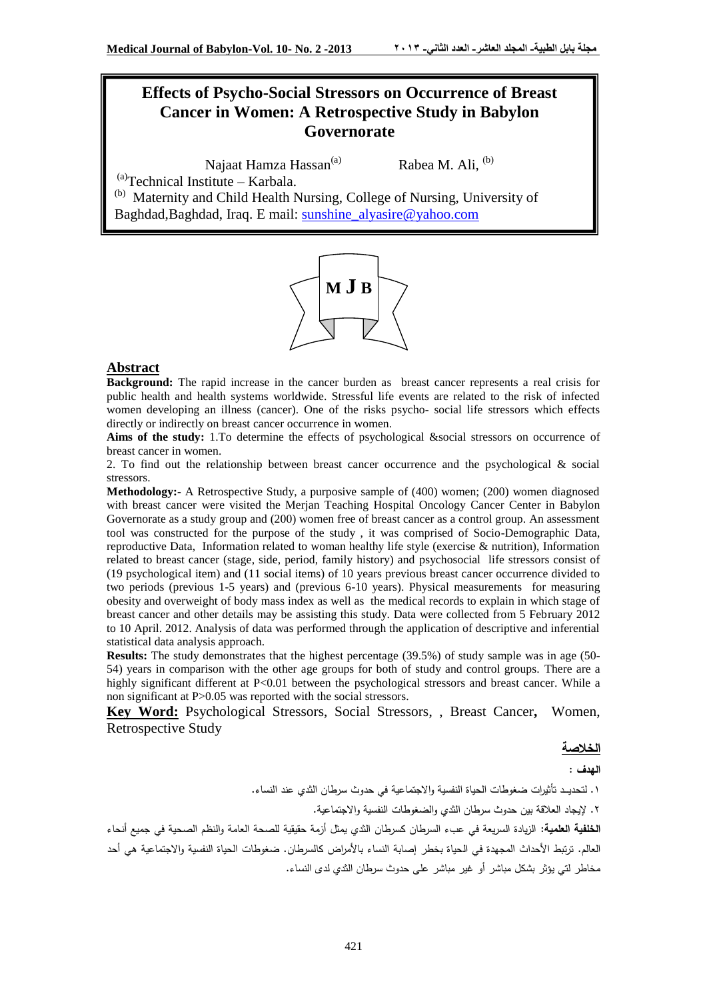# **Effects of Psycho-Social Stressors on Occurrence of Breast Cancer in Women: A Retrospective Study in Babylon Governorate**

Najaat Hamza Hassan<sup>(a)</sup>

Rabea M. Ali, (b)

 $(a)$ Technical Institute – Karbala.

(b) Maternity and Child Health Nursing, College of Nursing, University of

Baghdad,Baghdad, Iraq. E mail: [sunshine\\_alyasire@yahoo.com](mailto:sunshine_alyasire@yahoo.com)



#### **Abstract**

**Background:** The rapid increase in the cancer burden as breast cancer represents a real crisis for public health and health systems worldwide. Stressful life events are related to the risk of infected women developing an illness (cancer). One of the risks psycho- social life stressors which effects directly or indirectly on breast cancer occurrence in women.

**Aims of the study:** 1.To determine the effects of psychological &social stressors on occurrence of breast cancer in women.

2. To find out the relationship between breast cancer occurrence and the psychological & social stressors.

**Methodology:-** A Retrospective Study, a purposive sample of (400) women; (200) women diagnosed with breast cancer were visited the Merjan Teaching Hospital Oncology Cancer Center in Babylon Governorate as a study group and (200) women free of breast cancer as a control group. An assessment tool was constructed for the purpose of the study , it was comprised of Socio-Demographic Data, reproductive Data, Information related to woman healthy life style (exercise & nutrition), Information related to breast cancer (stage, side, period, family history) and psychosocial life stressors consist of (19 psychological item) and (11 social items) of 10 years previous breast cancer occurrence divided to two periods (previous 1-5 years) and (previous 6-10 years). Physical measurements for measuring obesity and overweight of body mass index as well as the medical records to explain in which stage of breast cancer and other details may be assisting this study. Data were collected from 5 February 2012 to 10 April. 2012. Analysis of data was performed through the application of descriptive and inferential statistical data analysis approach.

**Results:** The study demonstrates that the highest percentage (39.5%) of study sample was in age (50- 54) years in comparison with the other age groups for both of study and control groups. There are a highly significant different at P<0.01 between the psychological stressors and breast cancer. While a non significant at P>0.05 was reported with the social stressors.

**Key Word:** Psychological Stressors, Social Stressors, , Breast Cancer**,** Women, Retrospective Study

**الخالصة** 

**الهدف :**

.1 لتحديـــــد تأثيرات ضغوطات الحياة النفسية واالجتماعية في حدوث سرطان الثدي عند النساء.

.2 إليجاد العالقة بين حدوث سرطان الثدي والضغوطات النفسية واالجتماعية.

**الخلفية العلمية:** الزيادة السريعة في عبء السرطان كسرطان الثدي يمثل أزمة حقيقية لمصحة العامة والنظم الصحية في جميع أنحاء العالم. ترتبط الأحداث المجهدة في الحياة بخطر إصابة النساء بالأمراض كالسرطان. ضغوطات الحياة النفسية والاجتماعية هي أحد مخاطر لتي يؤثر بشكل مباشر أو غير مباشر عمى حدوث سرطان الثدي لدى النساء.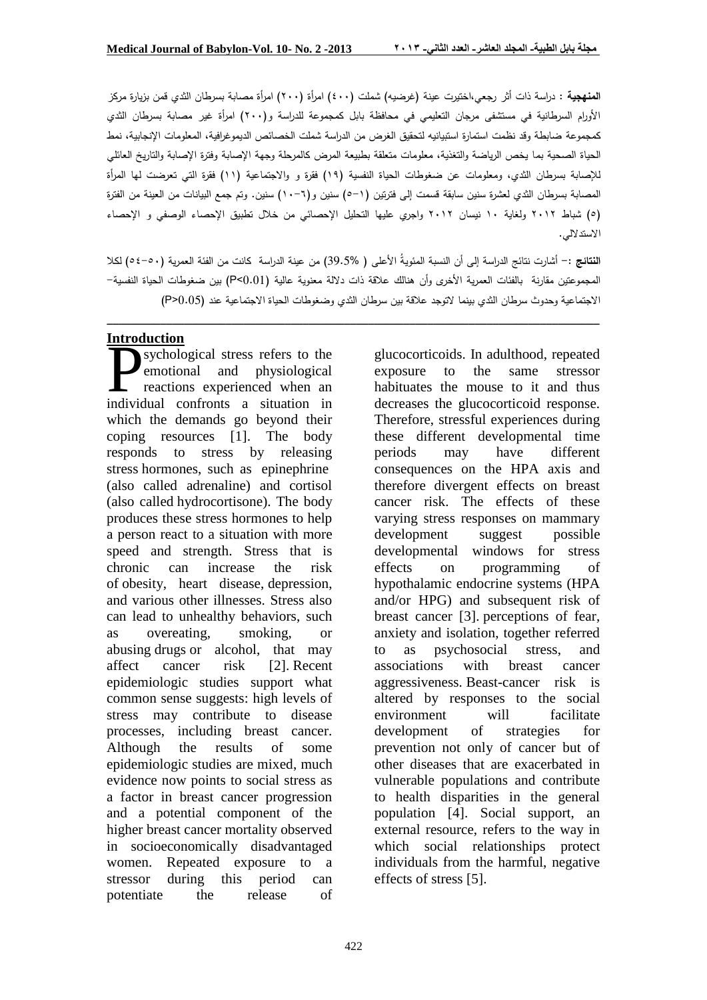**المنهجية :** دراسة ذات أثر رجعي،اختيرت عينة )غرضيه( شممت )044( امرأة )244( امرأة مصابة بسرطان الثدي قمن بزيارة مركز الأورام السرطانية في مستشفى مرجان التعليمي في محافظة بابل كمجموعة للدراسة و(٢٠٠) امرأة غير مصابة بسرطان الثدي كمجموعة ضابطة وقد نظمت استمارة استبيانيه لتحقيق الغرض من الدراسة شممت الخصائص الديموغرافية، المعمومات اإلنجابية، نمط الحياة الصحية بما يخص الرياضة والتغذية، معمومات متعمقة بطبيعة المرض كالمرحمة وجهة اإلصابة وفترة اإلصابة والتاريخ العائمي للإصابة بسرطان الثدي، ومعلومات عن ضغوطات الحياة النفسية (19) فقرة و والاجتماعية (١١) فقرة التي تعرضت لها المرأة المصابة بسرطان الثدي لعشرة سنين سابقة قسمت إلى فترتين (١-٥) سنين و(٦-١٠) سنين. وتم جمع البيانات من العينة من الفترة )5( شباط 2412 ولغاية 14 نيسان 2412 و اجري عميها التحميل اإلحصائي من خالل تطبيق اإلحصاء الوصفي و اإلحصاء االستداللي.

أشارت نتائج الد ارسة إلى أن النسبة المئويةُ ( 39.5%) من عينة الدراسة كانت من الفئة العمرية )50-54( لكال **النتائج -:** األعمى المجموعتين مقارنة بالفئات العمرية األخرى وأن هنالك عالقة ذات داللة معنوية عالية (0.01>P (بين ضغوطات الحياة النفسية- االجتماعية وحدوث سرطان الثدي بينما التوجد عالقة بين سرطان الثدي وضغوطات الحياة االجتماعية عند )0.05<P(

**\_\_\_\_\_\_\_\_\_\_\_\_\_\_\_\_\_\_\_\_\_\_\_\_\_\_\_\_\_\_\_\_\_\_\_\_\_\_\_\_\_\_\_\_\_\_\_\_\_\_\_\_\_\_\_\_\_\_\_\_\_\_\_\_\_\_\_\_\_\_\_\_\_\_\_\_\_\_\_\_\_\_\_**

#### **Introduction**

sychological stress refers to the emotional and physiological reactions experienced when an sychological stress refers to the<br>
emotional and physiological<br>
reactions experienced when an<br>
individual confronts a situation in which the demands go beyond their coping resources [1]. The body responds to stress by releasing stress [hormones,](http://www.cancer.gov/dictionary?expand=h#hormone) such as [epinephrine](http://www.cancer.gov/dictionary?expand=e#epinephrine) (also called adrenaline) and cortisol (also called [hydrocortisone\)](http://www.cancer.gov/dictionary?expand=h#hydrocortisone). The body produces these stress hormones to help a person react to a situation with more speed and strength. Stress that is chronic can increase the risk of [obesity,](http://www.cancer.gov/dictionary?expand=o#obese) heart disease, [depression,](http://www.cancer.gov/dictionary?expand=d#depression) and various other illnesses. Stress also can lead to unhealthy behaviors, such as overeating, smoking, or abusing [drugs](http://www.cancer.gov/dictionary?expand=d#drug) or alcohol, that may affect cancer risk [\[2\]](http://www.cancer.gov/cancertopics/factsheet/Risk/stress#r1). Recent epidemiologic studies support what common sense suggests: high levels of stress may contribute to disease processes, including breast cancer. Although the results of some epidemiologic studies are mixed, much evidence now points to social stress as a factor in breast cancer progression and a potential component of the higher breast cancer mortality observed in socioeconomically disadvantaged women. Repeated exposure to a stressor during this period can potentiate the release of

glucocorticoids. In adulthood, repeated exposure to the same stressor habituates the mouse to it and thus decreases the glucocorticoid response. Therefore, stressful experiences during these different developmental time periods may have different consequences on the HPA axis and therefore divergent effects on breast cancer risk. The effects of these varying stress responses on mammary development suggest possible developmental windows for stress effects on programming of hypothalamic endocrine systems (HPA and/or HPG) and subsequent risk of breast cancer [3]. perceptions of fear, anxiety and isolation, together referred to as psychosocial stress, and associations with breast cancer aggressiveness. Beast-cancer risk is altered by responses to the social environment will facilitate development of strategies for prevention not only of cancer but of other diseases that are exacerbated in vulnerable populations and contribute to health disparities in the general population [4]. Social support, an external resource, refers to the way in which social relationships protect individuals from the harmful, negative effects of stress [5].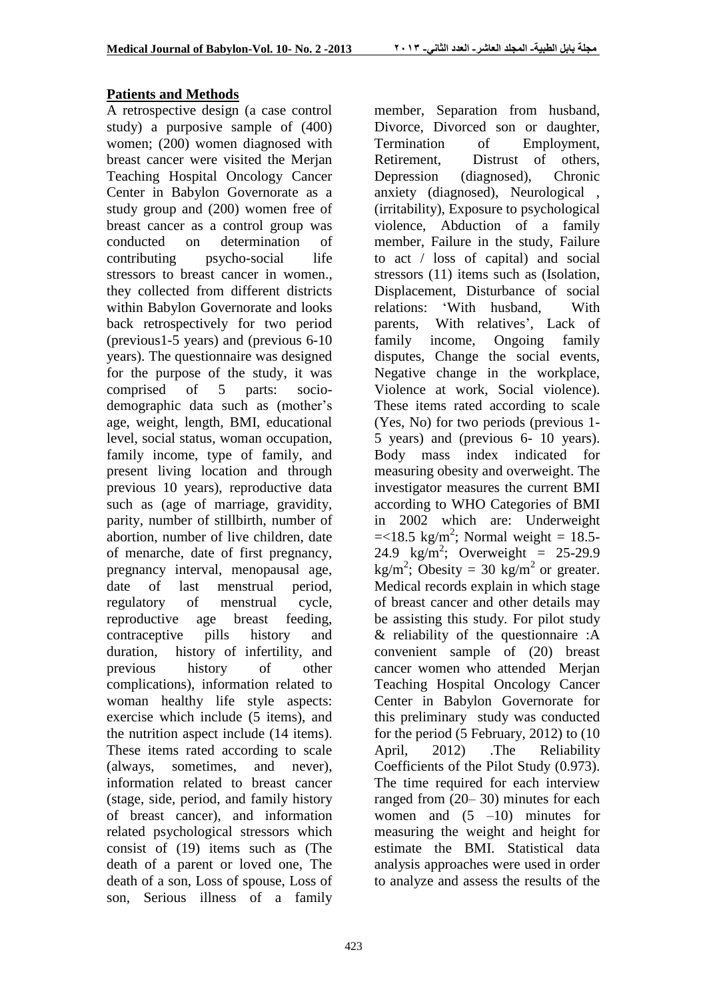### **Patients and Methods**

A retrospective design (a case control study) a purposive sample of (400) women; (200) women diagnosed with breast cancer were visited the Merjan Teaching Hospital Oncology Cancer Center in Babylon Governorate as a study group and (200) women free of breast cancer as a control group was conducted on determination of contributing psycho-social life stressors to breast cancer in women., they collected from different districts within Babylon Governorate and looks back retrospectively for two period (previous1-5 years) and (previous 6-10 years). The questionnaire was designed for the purpose of the study, it was comprised of 5 parts: sociodemographic data such as (mother's age, weight, length, BMI, educational level, social status, woman occupation, family income, type of family, and present living location and through previous 10 years), reproductive data such as (age of marriage, gravidity, parity, number of stillbirth, number of abortion, number of live children, date of menarche, date of first pregnancy, pregnancy interval, menopausal age, date of last menstrual period, regulatory of menstrual cycle, reproductive age breast feeding, contraceptive pills history and duration, history of infertility, and previous history of other complications), information related to woman healthy life style aspects: exercise which include (5 items), and the nutrition aspect include (14 items). These items rated according to scale (always, sometimes, and never), information related to breast cancer (stage, side, period, and family history of breast cancer), and information related psychological stressors which consist of (19) items such as (The death of a parent or loved one, The death of a son, Loss of spouse, Loss of son, Serious illness of a family

member, Separation from husband, Divorce, Divorced son or daughter, Termination of Employment, Retirement, Distrust of others, Depression (diagnosed), Chronic anxiety (diagnosed), Neurological , (irritability), Exposure to psychological violence, Abduction of a family member, Failure in the study, Failure to act / loss of capital) and social stressors (11) items such as (Isolation, Displacement, Disturbance of social relations: 'With husband, With parents, With relatives', Lack of family income, Ongoing family disputes, Change the social events, Negative change in the workplace, Violence at work, Social violence). These items rated according to scale (Yes, No) for two periods (previous 1- 5 years) and (previous 6- 10 years). Body mass index indicated for measuring obesity and overweight. The investigator measures the current BMI according to WHO Categories of BMI in 2002 which are: Underweight  $=<$ 18.5 kg/m<sup>2</sup>; Normal weight = 18.5-24.9 kg/m<sup>2</sup>; Overweight = 25-29.9 kg/m<sup>2</sup>; Obesity = 30 kg/m<sup>2</sup> or greater. Medical records explain in which stage of breast cancer and other details may be assisting this study. For pilot study & reliability of the questionnaire :A convenient sample of (20) breast cancer women who attended Merjan Teaching Hospital Oncology Cancer Center in Babylon Governorate for this preliminary study was conducted for the period (5 February, 2012) to (10 April, 2012) .The Reliability Coefficients of the Pilot Study (0.973). The time required for each interview ranged from (20– 30) minutes for each women and  $(5 -10)$  minutes for measuring the weight and height for estimate the BMI. Statistical data analysis approaches were used in order to analyze and assess the results of the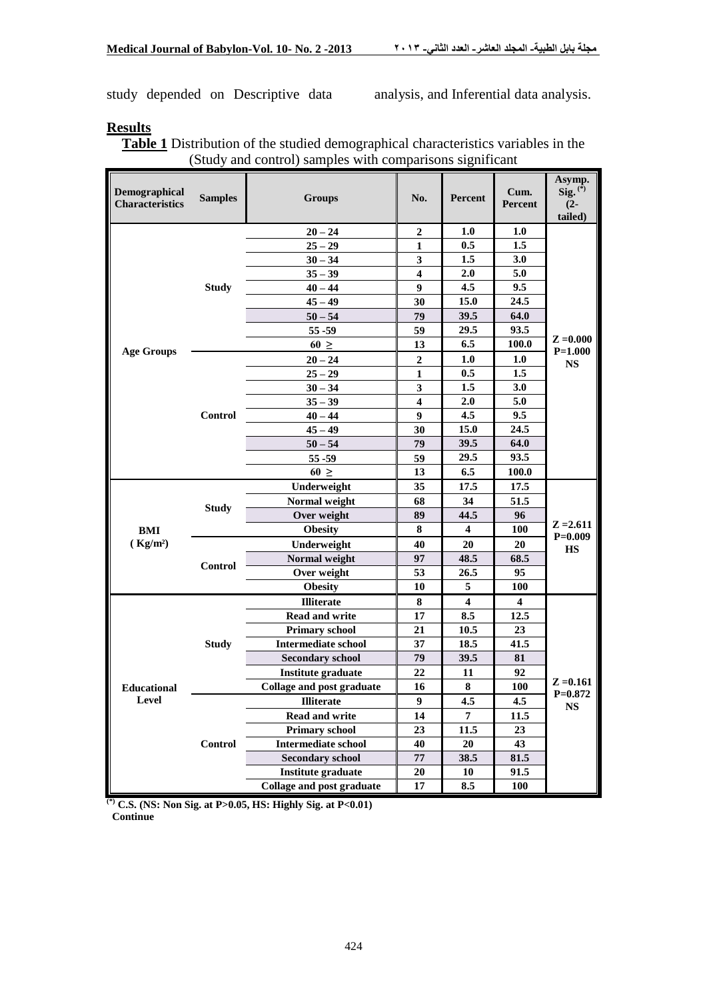study depended on Descriptive data analysis, and Inferential data analysis.

#### **Results**

**Table 1** Distribution of the studied demographical characteristics variables in the (Study and control) samples with comparisons significant

| Demographical<br><b>Characteristics</b> | <b>Samples</b> | <b>Groups</b>              | No.                     | Percent                 | Cum.<br><b>Percent</b>  | Asymp.<br>Sig. $(*)$<br>$(2 -$<br>tailed) |  |
|-----------------------------------------|----------------|----------------------------|-------------------------|-------------------------|-------------------------|-------------------------------------------|--|
|                                         |                | $20 - 24$                  | 2                       | 1.0                     | 1.0                     |                                           |  |
|                                         |                | $25 - 29$                  | 1                       | 0.5                     | 1.5                     |                                           |  |
|                                         |                | $30 - 34$                  | 3                       | 1.5                     | <b>3.0</b>              |                                           |  |
|                                         | <b>Study</b>   | $35 - 39$                  | 4                       | 2.0                     | 5.0                     |                                           |  |
|                                         |                | $40 - 44$                  | 9                       | 4.5                     | 9.5                     |                                           |  |
|                                         |                | $45 - 49$                  | 30                      | 15.0                    | 24.5                    |                                           |  |
|                                         |                | $50 - 54$                  | 79                      | 39.5                    | 64.0                    |                                           |  |
|                                         |                | 55 - 59                    | 59                      | 29.5                    | 93.5                    |                                           |  |
|                                         |                | $60 \geq$                  | 13                      | 6.5                     | 100.0                   | $Z = 0.000$                               |  |
| <b>Age Groups</b>                       |                | $20 - 24$                  | $\boldsymbol{2}$        | 1.0                     | 1.0                     | $P=1.000$<br><b>NS</b>                    |  |
|                                         |                | $25 - 29$                  | 1                       | 0.5                     | 1.5                     |                                           |  |
|                                         |                | $30 - 34$                  | 3                       | 1.5                     | 3.0                     |                                           |  |
|                                         |                | $35 - 39$                  | $\overline{\mathbf{4}}$ | 2.0                     | 5.0                     |                                           |  |
|                                         | Control        | $40 - 44$                  | 9                       | 4.5                     | 9.5                     |                                           |  |
|                                         |                | $45 - 49$                  | 30                      | 15.0                    | 24.5                    |                                           |  |
|                                         |                | $50 - 54$                  | 79                      | 39.5                    | 64.0                    |                                           |  |
|                                         |                | 55 - 59                    | 59                      | 29.5                    | 93.5                    |                                           |  |
|                                         |                | $60 \geq$                  | 13                      | 6.5                     | <b>100.0</b>            |                                           |  |
|                                         |                | Underweight                | 35                      | 17.5                    | 17.5                    |                                           |  |
|                                         |                | Normal weight              | 68                      | 34                      | 51.5                    |                                           |  |
|                                         | <b>Study</b>   | 44.5<br>Over weight<br>89  |                         | 96                      |                         |                                           |  |
| <b>BMI</b>                              |                | <b>Obesity</b>             | 8                       | $\overline{\mathbf{4}}$ | <b>100</b>              | $Z = 2.611$                               |  |
| (Kg/m <sup>2</sup> )                    |                | Underweight                | 40                      | 20                      | 20                      | $P=0.009$<br><b>HS</b>                    |  |
|                                         |                | Normal weight              | 97                      | 48.5                    | 68.5                    |                                           |  |
|                                         | Control        | Over weight                | 53                      | 26.5                    | 95                      |                                           |  |
|                                         |                | <b>Obesity</b>             | 10                      | 5                       | 100                     |                                           |  |
|                                         |                | <b>Illiterate</b>          | 8                       | $\overline{\mathbf{4}}$ | $\overline{\mathbf{4}}$ |                                           |  |
|                                         |                | Read and write             | 17                      | 8.5                     | 12.5                    |                                           |  |
|                                         |                | <b>Primary school</b>      | 21                      | 10.5                    | 23                      |                                           |  |
|                                         | <b>Study</b>   | <b>Intermediate school</b> | 37                      | 18.5                    | 41.5                    |                                           |  |
|                                         |                | <b>Secondary school</b>    | 79                      | 39.5                    | 81                      |                                           |  |
|                                         |                | <b>Institute graduate</b>  | 22                      | 11                      | 92                      |                                           |  |
| <b>Educational</b>                      |                | Collage and post graduate  | 16                      | 8                       | <b>100</b>              | $Z = 0.161$                               |  |
| <b>Level</b>                            |                | <b>Illiterate</b>          | $\boldsymbol{9}$        | 4.5                     | 4.5                     | $P=0.872$                                 |  |
|                                         |                | <b>Read and write</b>      | 14                      | $\overline{7}$          | 11.5                    | NS.                                       |  |
|                                         |                | <b>Primary school</b>      | 23                      | 11.5                    | 23                      |                                           |  |
|                                         | Control        | <b>Intermediate school</b> | 40                      | 20                      | 43                      |                                           |  |
|                                         |                | <b>Secondary school</b>    | 77                      | 38.5                    | 81.5                    |                                           |  |
|                                         |                | Institute graduate         | 20                      | 10                      | 91.5                    |                                           |  |
|                                         |                | Collage and post graduate  | 17                      | 8.5                     | <b>100</b>              |                                           |  |

**(\*) C.S. (NS: Non Sig. at P>0.05, HS: Highly Sig. at P<0.01) Continue**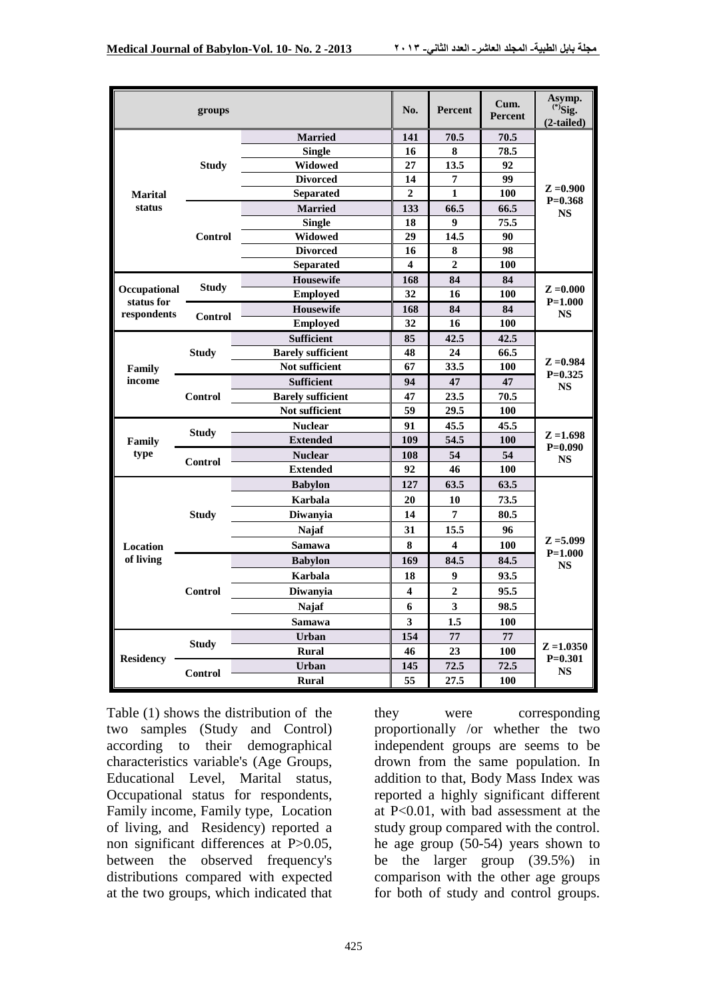|                            | groups         |                          | No.              | <b>Percent</b>          | Cum.<br>Percent | Asymp.<br>$^{(*)}$ Sig.<br>$(2-tailed)$ |  |
|----------------------------|----------------|--------------------------|------------------|-------------------------|-----------------|-----------------------------------------|--|
|                            |                | <b>Married</b>           | 141              | 70.5                    | 70.5            |                                         |  |
|                            |                | <b>Single</b>            | 16               | 8                       | 78.5            |                                         |  |
|                            | <b>Study</b>   | Widowed                  | 27               | 13.5                    | 92              |                                         |  |
|                            |                | <b>Divorced</b>          | 14               | 7                       | 99              |                                         |  |
| <b>Marital</b>             |                | <b>Separated</b>         | $\overline{2}$   | 1                       | 100             | $Z = 0.900$<br>$P=0.368$                |  |
| status                     |                | <b>Married</b>           | 133              | 66.5                    | 66.5            | <b>NS</b>                               |  |
|                            |                | <b>Single</b>            | 18               | 9                       | 75.5            |                                         |  |
|                            | <b>Control</b> | Widowed                  | 29               | 14.5                    | 90              |                                         |  |
|                            |                | <b>Divorced</b>          | 16               | 8                       | 98              |                                         |  |
|                            |                | <b>Separated</b>         | $\boldsymbol{4}$ | $\overline{2}$          | 100             |                                         |  |
|                            | <b>Study</b>   | <b>Housewife</b>         | 168              | 84                      | 84              |                                         |  |
| Occupational<br>status for |                | <b>Employed</b>          | 32               | 16                      | 100             | $Z = 0.000$<br>$P=1.000$                |  |
| respondents                | <b>Control</b> | <b>Housewife</b>         | 168              | 84                      | 84              | <b>NS</b>                               |  |
|                            |                | <b>Employed</b>          | 32               | 16                      | 100             |                                         |  |
|                            |                | <b>Sufficient</b>        | 85               | 42.5                    | 42.5            |                                         |  |
| Family<br>income           | <b>Study</b>   | <b>Barely sufficient</b> | 48               | 24                      | 66.5            |                                         |  |
|                            |                | <b>Not sufficient</b>    | 67               | 33.5                    | 100             | $Z = 0.984$<br>$P=0.325$                |  |
|                            |                | <b>Sufficient</b>        | 94               | 47                      | 47              | <b>NS</b>                               |  |
|                            | <b>Control</b> | <b>Barely sufficient</b> | 47               | 23.5                    | 70.5            |                                         |  |
|                            |                | Not sufficient           | 59               | 29.5                    | 100             |                                         |  |
|                            |                | <b>Nuclear</b>           | 91               | 45.5                    | 45.5            |                                         |  |
| Family                     | <b>Study</b>   | <b>Extended</b>          | 109              | 54.5                    | 100             | $Z = 1.698$<br>$P=0.090$                |  |
| type                       |                | <b>Nuclear</b>           | 108              | 54                      | 54              | <b>NS</b>                               |  |
|                            | Control        | <b>Extended</b>          | 92               | 46                      | 100             |                                         |  |
|                            |                | <b>Babylon</b>           | 127              | 63.5                    | 63.5            |                                         |  |
|                            |                | Karbala                  | 20               | 10                      | 73.5            |                                         |  |
|                            | <b>Study</b>   | Diwanyia                 | 14               | 7                       | 80.5            |                                         |  |
|                            |                | Najaf                    | 31               | 15.5                    | 96              |                                         |  |
| Location                   |                | Samawa                   | 8                | $\overline{\mathbf{4}}$ | 100             | $Z = 5.099$                             |  |
| of living                  |                | <b>Babylon</b>           | 169              | 84.5                    | 84.5            | $P=1.000$                               |  |
|                            |                | <b>Karbala</b>           | 18               | $\boldsymbol{9}$        | 93.5            | <b>NS</b>                               |  |
|                            | Control        | Diwanyia                 | 4                | $\overline{2}$          | 95.5            |                                         |  |
|                            |                | <b>Najaf</b>             | 6                | 3                       | 98.5            |                                         |  |
|                            |                | Samawa                   | 3                | 1.5                     | 100             |                                         |  |
|                            |                | <b>Urban</b>             | 154              | 77                      | 77              |                                         |  |
|                            | <b>Study</b>   | <b>Rural</b>             | 46               | 23                      | 100             | $Z = 1.0350$                            |  |
| <b>Residency</b>           |                |                          |                  |                         |                 | $P=0.301$                               |  |
|                            | Control        | Urban                    | 145              | 72.5                    | 72.5            | <b>NS</b>                               |  |
|                            |                | <b>Rural</b>             | 55               | 27.5                    | 100             |                                         |  |

Table (1) shows the distribution of the two samples (Study and Control) according to their demographical characteristics variable's (Age Groups, Educational Level, Marital status, Occupational status for respondents, Family income, Family type, Location of living, and Residency) reported a non significant differences at P>0.05, between the observed frequency's distributions compared with expected at the two groups, which indicated that

they were corresponding proportionally /or whether the two independent groups are seems to be drown from the same population. In addition to that, Body Mass Index was reported a highly significant different at P<0.01, with bad assessment at the study group compared with the control. he age group (50-54) years shown to be the larger group (39.5%) in comparison with the other age groups for both of study and control groups.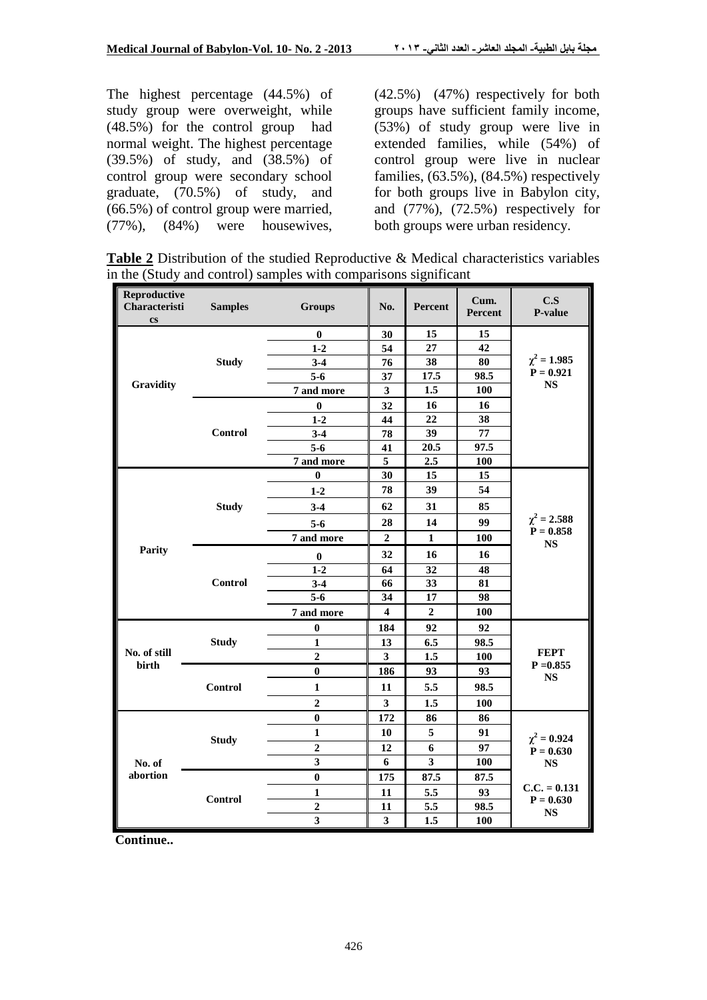The highest percentage (44.5%) of study group were overweight, while (48.5%) for the control group had normal weight. The highest percentage (39.5%) of study, and (38.5%) of control group were secondary school graduate, (70.5%) of study, and (66.5%) of control group were married, (77%), (84%) were housewives,

(42.5%) (47%) respectively for both groups have sufficient family income, (53%) of study group were live in extended families, while (54%) of control group were live in nuclear families,  $(63.5\%)$ ,  $(84.5\%)$  respectively for both groups live in Babylon city, and (77%), (72.5%) respectively for both groups were urban residency.

**Table 2** Distribution of the studied Reproductive & Medical characteristics variables in the (Study and control) samples with comparisons significant

| Reproductive<br>Characteristi<br>$\mathbf{c}\mathbf{s}$ | <b>Samples</b> | <b>Groups</b>           | No.                     | Percent         | Cum.<br>Percent | C.S<br>P-value                   |  |
|---------------------------------------------------------|----------------|-------------------------|-------------------------|-----------------|-----------------|----------------------------------|--|
|                                                         |                | 0                       | 30                      | 15              | 15              |                                  |  |
|                                                         |                | $1-2$                   | 54                      | 27              | 42              |                                  |  |
|                                                         | <b>Study</b>   | $3 - 4$                 | 76                      | 38              | 80              | $\chi^2 = 1.985$                 |  |
|                                                         |                | $5-6$                   | 37                      | 17.5            | 98.5            | $\hat{P} = 0.921$                |  |
| Gravidity                                               |                | 7 and more              | $\overline{\mathbf{3}}$ | 1.5             | 100             | <b>NS</b>                        |  |
|                                                         |                | $\bf{0}$                | 32                      | 16              | 16              |                                  |  |
|                                                         |                | $1 - 2$                 | 44                      | 22              | 38              |                                  |  |
|                                                         | Control        | $3-4$                   | 78                      | 39              | 77              |                                  |  |
|                                                         |                | $5-6$                   | 41                      | 20.5            | 97.5            |                                  |  |
|                                                         |                | 7 and more              | 5                       | 2.5             | 100             |                                  |  |
|                                                         |                | $\bf{0}$                | 30                      | 15              | 15              |                                  |  |
|                                                         |                | $1 - 2$                 | 78                      | 39              | 54              |                                  |  |
|                                                         | <b>Study</b>   | $3 - 4$                 | 62                      | 31              | 85              |                                  |  |
|                                                         |                | $5-6$                   | 28                      | 14              | 99              | $\chi^2 = 2.588$                 |  |
|                                                         |                | 7 and more              | $\overline{2}$          | $\mathbf{1}$    | 100             | $\tilde{P} = 0.858$<br><b>NS</b> |  |
| <b>Parity</b>                                           |                | 0                       | 32                      | 16              | 16              |                                  |  |
|                                                         |                | $1-2$                   | 64                      | 32              | 48              |                                  |  |
|                                                         | Control        | $3-4$                   | 66                      | 33              | 81              |                                  |  |
|                                                         |                | $5-6$                   | 34                      | 17              | 98              |                                  |  |
|                                                         |                | 7 and more              | 4                       | $\overline{2}$  | 100             |                                  |  |
|                                                         |                | $\bf{0}$                | 184                     | 92              | 92              |                                  |  |
|                                                         | <b>Study</b>   | $\mathbf{1}$            | 13                      | 6.5             | 98.5            |                                  |  |
| No. of still                                            |                | $\overline{2}$          | $\overline{\mathbf{3}}$ | 1.5             | 100             | <b>FEPT</b>                      |  |
| birth                                                   |                | $\overline{\mathbf{0}}$ | 186                     | $\overline{93}$ | $\overline{93}$ | $P = 0.855$<br><b>NS</b>         |  |
|                                                         | <b>Control</b> | $\mathbf{1}$            | 11                      | 5.5             | 98.5            |                                  |  |
|                                                         |                | $\overline{2}$          | $\mathbf{3}$            | 1.5             | 100             |                                  |  |
|                                                         |                | $\bf{0}$                | 172                     | 86              | 86              |                                  |  |
|                                                         | <b>Study</b>   | $\mathbf{1}$            | 10                      | 5               | 91              | $\chi^2 = 0.924$                 |  |
|                                                         |                | $\overline{2}$          | 12                      | 6               | 97              | $\hat{\mathbf{P}} = 0.630$       |  |
| No. of                                                  |                | 3                       | 6                       | $\mathbf{3}$    | 100             | <b>NS</b>                        |  |
| abortion                                                |                | $\bf{0}$                | 175                     | 87.5            | 87.5            |                                  |  |
|                                                         | Control        | $\mathbf{1}$            | 11                      | 5.5             | 93              | $C.C. = 0.131$<br>$P = 0.630$    |  |
|                                                         |                | $\overline{2}$          | 11                      | 5.5             | 98.5            | <b>NS</b>                        |  |
|                                                         |                | $\overline{\mathbf{3}}$ | $\overline{\mathbf{3}}$ | 1.5             | 100             |                                  |  |

**Continue..**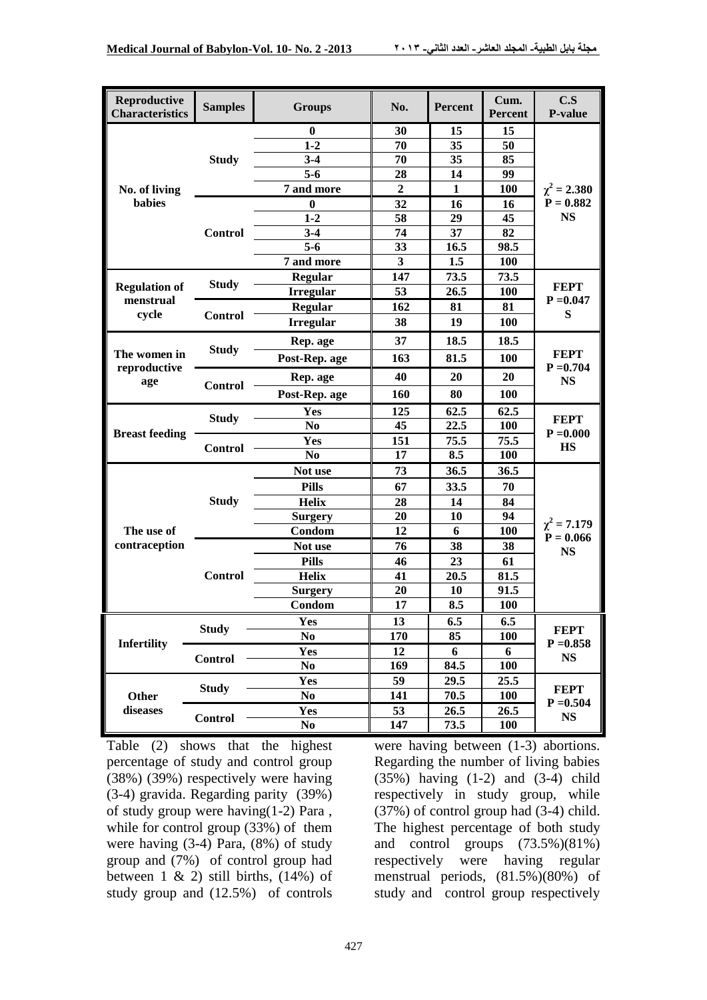| Reproductive<br><b>Characteristics</b> | <b>Samples</b> | <b>Groups</b>    | No.              | Percent | Cum.<br><b>Percent</b> | C.S<br>P-value             |  |
|----------------------------------------|----------------|------------------|------------------|---------|------------------------|----------------------------|--|
|                                        |                | $\bf{0}$         | 30               | 15      | 15                     |                            |  |
|                                        |                | $1 - 2$          | 70               | 35      | 50                     |                            |  |
|                                        | <b>Study</b>   | $3-4$            | 70               | 35      | 85                     |                            |  |
|                                        |                | $5-6$            | 28               | 14      | 99                     |                            |  |
| No. of living                          |                | 7 and more       | $\boldsymbol{2}$ | 1       | <b>100</b>             | $\chi^2 = 2.380$           |  |
| <b>habies</b>                          |                | $\bf{0}$         | 32               | 16      | 16                     | $P = 0.882$                |  |
|                                        |                | $1 - 2$          | 58               | 29      | 45                     | <b>NS</b>                  |  |
|                                        | <b>Control</b> | $3-4$            | 74               | 37      | 82                     |                            |  |
|                                        |                | $5-6$            | 33               | 16.5    | 98.5                   |                            |  |
|                                        |                | 7 and more       | 3                | 1.5     | 100                    |                            |  |
|                                        | <b>Study</b>   | <b>Regular</b>   | 147              | 73.5    | 73.5                   |                            |  |
| <b>Regulation of</b><br>menstrual      |                | <b>Irregular</b> | 53               | 26.5    | 100                    | <b>FEPT</b><br>$P = 0.047$ |  |
| cycle                                  | <b>Control</b> | <b>Regular</b>   | 162              | 81      | 81                     | S                          |  |
|                                        |                | <b>Irregular</b> | 38               | 19      | 100                    |                            |  |
|                                        | <b>Study</b>   | Rep. age         | 37               | 18.5    | 18.5                   |                            |  |
| The women in                           |                | Post-Rep. age    | 163              | 81.5    | <b>100</b>             | <b>FEPT</b><br>$P = 0.704$ |  |
| reproductive<br>age                    | <b>Control</b> | Rep. age         | 40               | 20      | 20                     | <b>NS</b>                  |  |
|                                        |                | Post-Rep. age    | 160              | 80      | <b>100</b>             |                            |  |
|                                        | <b>Study</b>   | Yes              | 125              | 62.5    | 62.5                   | <b>FEPT</b>                |  |
| <b>Breast feeding</b>                  |                | N <sub>0</sub>   | 45               | 22.5    | <b>100</b>             | $P = 0.000$                |  |
|                                        |                | Yes              | 151              | 75.5    | 75.5                   | <b>HS</b>                  |  |
|                                        | <b>Control</b> | N <sub>o</sub>   | 17               | 8.5     | 100                    |                            |  |
|                                        |                | Not use          | 73               | 36.5    | 36.5                   |                            |  |
|                                        |                | <b>Pills</b>     | 67               | 33.5    | 70                     |                            |  |
|                                        | <b>Study</b>   | <b>Helix</b>     | 28               | 14      | 84                     |                            |  |
|                                        |                | <b>Surgery</b>   | 20               | 10      | 94                     | $\chi^2$ = 7.179           |  |
| The use of                             |                | Condom           | 12               | 6       | 100                    | $P = 0.066$                |  |
| contraception                          |                | Not use          | 76               | 38      | 38                     | <b>NS</b>                  |  |
|                                        |                | <b>Pills</b>     | 46               | 23      | 61                     |                            |  |
|                                        | <b>Control</b> | <b>Helix</b>     | 41               | 20.5    | 81.5                   |                            |  |
|                                        |                | <b>Surgery</b>   | 20               | 10      | 91.5                   |                            |  |
|                                        |                | Condom           | 17               | 8.5     | 100                    |                            |  |
|                                        |                | Yes              | 13               | 6.5     | 6.5                    |                            |  |
| <b>Infertility</b>                     | <b>Study</b>   | N <sub>0</sub>   | 170              | 85      | <b>100</b>             | <b>FEPT</b><br>$P = 0.858$ |  |
|                                        |                | <b>Yes</b>       | 12               | 6       | 6                      | <b>NS</b>                  |  |
|                                        | <b>Control</b> | N <sub>0</sub>   | 169              | 84.5    | <b>100</b>             |                            |  |
|                                        | <b>Study</b>   | Yes              | 59               | 29.5    | 25.5                   |                            |  |
| <b>Other</b>                           |                | N <sub>0</sub>   | 141              | 70.5    | 100                    | <b>FEPT</b><br>$P = 0.504$ |  |
| diseases                               | Control        | Yes              | 53               | 26.5    | 26.5                   | <b>NS</b>                  |  |
|                                        |                | N <sub>0</sub>   | 147              | 73.5    | <b>100</b>             |                            |  |

Table (2) shows that the highest percentage of study and control group (38%) (39%) respectively were having (3-4) gravida. Regarding parity (39%) of study group were having(1-2) Para , while for control group (33%) of them were having (3-4) Para, (8%) of study group and (7%) of control group had between 1 & 2) still births,  $(14%)$  of study group and (12.5%) of controls were having between  $(1-3)$  abortions. Regarding the number of living babies (35%) having (1-2) and (3-4) child respectively in study group, while (37%) of control group had (3-4) child. The highest percentage of both study and control groups  $(73.5\%)$  $(81\%)$ respectively were having regular menstrual periods, (81.5%)(80%) of study and control group respectively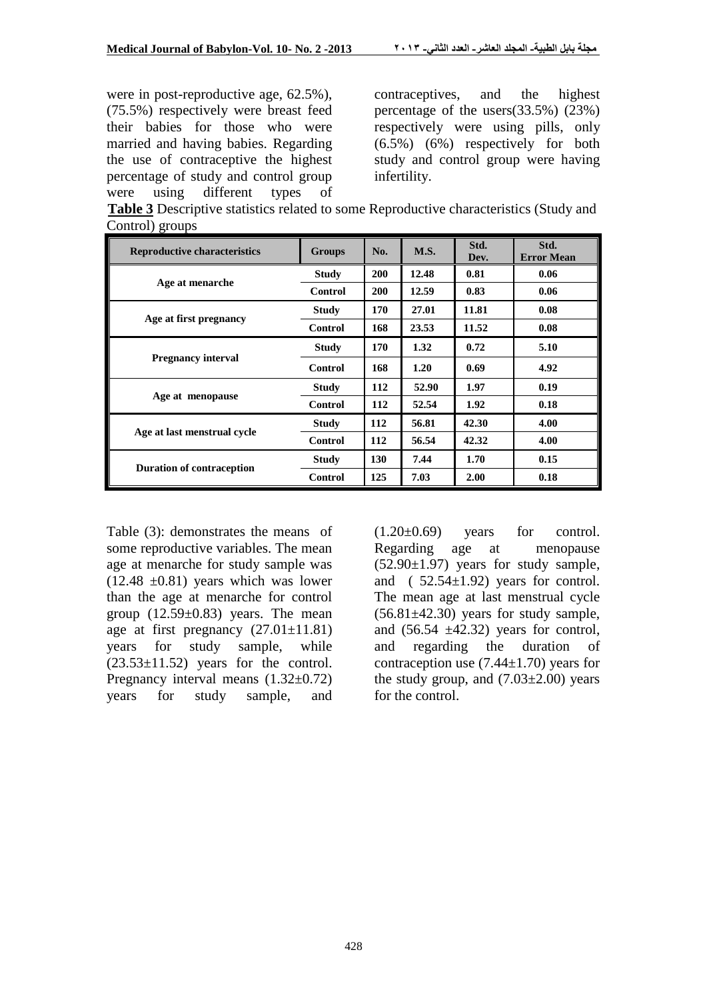were in post-reproductive age, 62.5%), (75.5%) respectively were breast feed their babies for those who were married and having babies. Regarding the use of contraceptive the highest percentage of study and control group were using different types of

contraceptives, and the highest percentage of the users(33.5%) (23%) respectively were using pills, only (6.5%) (6%) respectively for both study and control group were having infertility.

 **Table 3** Descriptive statistics related to some Reproductive characteristics (Study and Control) groups

| <b>Reproductive characteristics</b> | <b>Groups</b>  | No. | M.S.  | Std.<br>Dev. | Std.<br><b>Error Mean</b> |
|-------------------------------------|----------------|-----|-------|--------------|---------------------------|
|                                     | <b>Study</b>   | 200 | 12.48 | 0.81         | 0.06                      |
| Age at menarche                     | <b>Control</b> | 200 | 12.59 | 0.83         | 0.06                      |
|                                     | <b>Study</b>   | 170 | 27.01 | 11.81        | 0.08                      |
| Age at first pregnancy              | Control        | 168 | 23.53 | 11.52        | 0.08                      |
| <b>Pregnancy interval</b>           | <b>Study</b>   | 170 | 1.32  | 0.72         | 5.10                      |
|                                     | <b>Control</b> | 168 | 1.20  | 0.69         | 4.92                      |
|                                     | <b>Study</b>   | 112 | 52.90 | 1.97         | 0.19                      |
| Age at menopause                    | <b>Control</b> | 112 | 52.54 | 1.92         | 0.18                      |
| Age at last menstrual cycle         | Study          | 112 | 56.81 | 42.30        | 4.00                      |
|                                     | <b>Control</b> | 112 | 56.54 | 42.32        | 4.00                      |
|                                     | <b>Study</b>   | 130 | 7.44  | 1.70         | 0.15                      |
| <b>Duration of contraception</b>    | <b>Control</b> | 125 | 7.03  | 2.00         | 0.18                      |

Table (3): demonstrates the means of some reproductive variables. The mean age at menarche for study sample was  $(12.48 \pm 0.81)$  years which was lower than the age at menarche for control group  $(12.59\pm0.83)$  years. The mean age at first pregnancy  $(27.01 \pm 11.81)$ years for study sample, while  $(23.53\pm11.52)$  years for the control. Pregnancy interval means (1.32±0.72) years for study sample, and  $(1.20\pm0.69)$  years for control. Regarding age at menopause  $(52.90 \pm 1.97)$  years for study sample, and  $(52.54\pm1.92)$  years for control. The mean age at last menstrual cycle  $(56.81 \pm 42.30)$  years for study sample, and  $(56.54 \pm 42.32)$  years for control, and regarding the duration of contraception use  $(7.44 \pm 1.70)$  years for the study group, and  $(7.03\pm2.00)$  years for the control.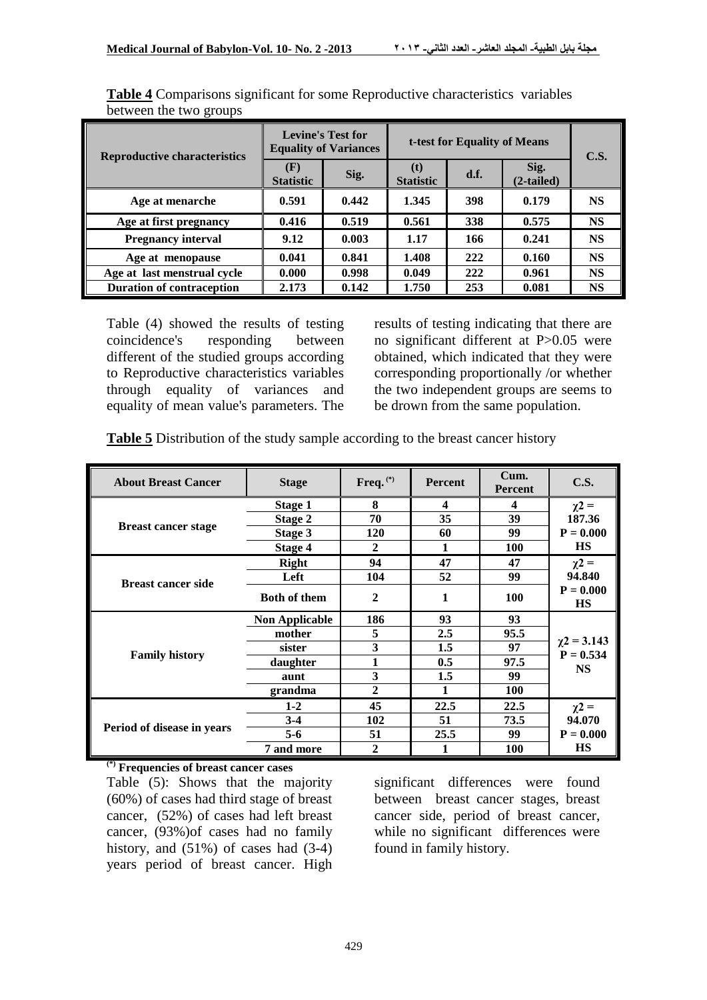| <b>Reproductive characteristics</b> |                         | <b>Levine's Test for</b><br><b>Equality of Variances</b> | t-test for Equality of Means | C.S. |                      |           |
|-------------------------------------|-------------------------|----------------------------------------------------------|------------------------------|------|----------------------|-----------|
|                                     | (F)<br><b>Statistic</b> | Sig.                                                     | (t)<br><b>Statistic</b>      | d.f. | Sig.<br>$(2-tailed)$ |           |
| Age at menarche                     | 0.591                   | 0.442                                                    | 1.345                        | 398  | 0.179                | <b>NS</b> |
| Age at first pregnancy              | 0.416                   | 0.519                                                    | 0.561                        | 338  | 0.575                | <b>NS</b> |
| <b>Pregnancy interval</b>           | 9.12                    | 0.003                                                    | 1.17                         | 166  | 0.241                | <b>NS</b> |
| Age at menopause                    | 0.041                   | 0.841                                                    | 1.408                        | 222  | 0.160                | <b>NS</b> |
| Age at last menstrual cycle         | 0.000                   | 0.998                                                    | 0.049                        | 222  | 0.961                | <b>NS</b> |
| <b>Duration of contraception</b>    | 2.173                   | 0.142                                                    | 1.750                        | 253  | 0.081                | <b>NS</b> |

**Table 4** Comparisons significant for some Reproductive characteristics variables between the two groups

Table (4) showed the results of testing coincidence's responding between different of the studied groups according to Reproductive characteristics variables through equality of variances and equality of mean value's parameters. The results of testing indicating that there are no significant different at P>0.05 were obtained, which indicated that they were corresponding proportionally /or whether the two independent groups are seems to be drown from the same population.

| <b>Table 5</b> Distribution of the study sample according to the breast cancer history |  |
|----------------------------------------------------------------------------------------|--|
|----------------------------------------------------------------------------------------|--|

| <b>About Breast Cancer</b> | <b>Stage</b>          | Freq. $(*)$    | <b>Percent</b>          | Cum.<br><b>Percent</b> | <b>C.S.</b>                     |
|----------------------------|-----------------------|----------------|-------------------------|------------------------|---------------------------------|
|                            | Stage 1               | 8              | $\overline{\mathbf{4}}$ | 4                      | $\chi^2 =$                      |
| <b>Breast cancer stage</b> | Stage 2               | 70             | 35                      | 39                     | 187.36                          |
|                            | Stage 3               | 120            | 60                      | 99                     | $P = 0.000$                     |
|                            | Stage 4               | $\mathbf{2}$   | 1                       | <b>100</b>             | <b>HS</b>                       |
|                            | Right                 | 94             | 47                      | 47                     | $\chi^2 =$                      |
| <b>Breast cancer side</b>  | Left                  | 104            | 52                      | 99                     | 94.840                          |
|                            | <b>Both of them</b>   | $\overline{2}$ | 1                       | 100                    | $P = 0.000$<br><b>HS</b>        |
|                            | <b>Non Applicable</b> | 186            | 93                      | 93                     |                                 |
|                            | mother                | 5              | 2.5                     | 95.5                   |                                 |
|                            | sister                | 3              | 1.5                     | 97                     | $\chi$ 2 = 3.143<br>$P = 0.534$ |
| <b>Family history</b>      | daughter              | 1              | 0.5                     | 97.5                   | <b>NS</b>                       |
|                            | aunt                  | 3              | 1.5                     | 99                     |                                 |
|                            | grandma               | $\overline{2}$ | 1                       | <b>100</b>             |                                 |
|                            | $1 - 2$               | 45             | 22.5                    | 22.5                   | $\chi^2 =$                      |
| Period of disease in years | $3-4$                 | 102            | 51                      | 73.5                   | 94.070                          |
|                            | $5-6$                 | 51             | 25.5                    | 99                     | $P = 0.000$                     |
|                            | 7 and more            | $\mathbf{2}$   | 1                       | <b>100</b>             | <b>HS</b>                       |

**(\*) Frequencies of breast cancer cases** 

Table (5): Shows that the majority (60%) of cases had third stage of breast cancer, (52%) of cases had left breast cancer, (93%)of cases had no family history, and  $(51\%)$  of cases had  $(3-4)$ years period of breast cancer. High

significant differences were found between breast cancer stages, breast cancer side, period of breast cancer, while no significant differences were found in family history.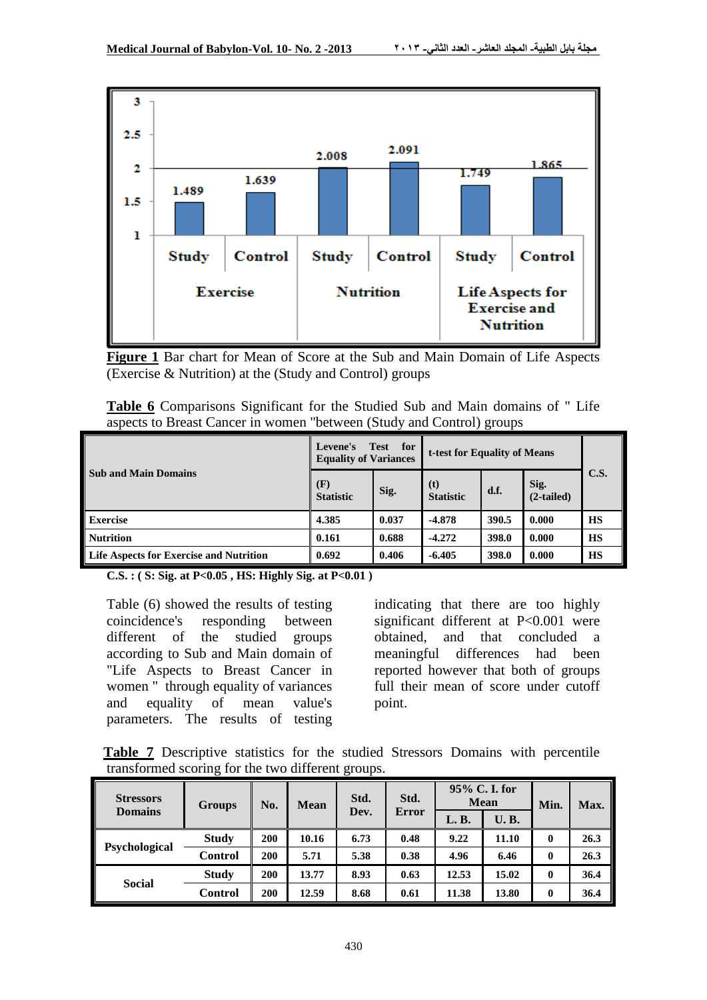

**Figure 1** Bar chart for Mean of Score at the Sub and Main Domain of Life Aspects (Exercise & Nutrition) at the (Study and Control) groups

| <b>Table 6</b> Comparisons Significant for the Studied Sub and Main domains of "Life" |  |  |  |
|---------------------------------------------------------------------------------------|--|--|--|
| aspects to Breast Cancer in women "between (Study and Control) groups                 |  |  |  |

|                                                | Levene's<br><b>Equality of Variances</b> | for<br><b>Test</b> | t-test for Equality of Means |       |                      |           |
|------------------------------------------------|------------------------------------------|--------------------|------------------------------|-------|----------------------|-----------|
| <b>Sub and Main Domains</b>                    | (F)<br><b>Statistic</b>                  | Sig.               | (t)<br><b>Statistic</b>      | d.f.  | Sig.<br>$(2-tailed)$ | C.S.      |
| <b>Exercise</b>                                | 4.385                                    | 0.037              | $-4.878$                     | 390.5 | 0.000                | <b>HS</b> |
| <b>Nutrition</b>                               | 0.161                                    | 0.688              | $-4.272$                     | 398.0 | 0.000                | <b>HS</b> |
| <b>Life Aspects for Exercise and Nutrition</b> | 0.692                                    | 0.406              | $-6.405$                     | 398.0 | 0.000                | <b>HS</b> |

**C.S. : ( S: Sig. at P<0.05 , HS: Highly Sig. at P<0.01 )**

Table (6) showed the results of testing coincidence's responding between different of the studied groups according to Sub and Main domain of "Life Aspects to Breast Cancer in women " through equality of variances and equality of mean value's parameters. The results of testing

indicating that there are too highly significant different at P<0.001 were obtained, and that concluded a meaningful differences had been reported however that both of groups full their mean of score under cutoff point.

**Table 7** Descriptive statistics for the studied Stressors Domains with percentile transformed scoring for the two different groups.

| <b>Stressors</b><br><b>Domains</b> | <b>Groups</b>  | No. | <b>Mean</b> | Std.<br>Dev. |              | 95% C.I. for<br><b>Mean</b> |             | Min.     | Max. |
|------------------------------------|----------------|-----|-------------|--------------|--------------|-----------------------------|-------------|----------|------|
|                                    |                |     |             |              | <b>Error</b> | L. B.                       | <b>U.B.</b> |          |      |
| Psychological                      | <b>Study</b>   | 200 | 10.16       | 6.73         | 0.48         | 9.22                        | 11.10       | $\bf{0}$ | 26.3 |
|                                    | Control        | 200 | 5.71        | 5.38         | 0.38         | 4.96                        | 6.46        | $\bf{0}$ | 26.3 |
|                                    | <b>Study</b>   | 200 | 13.77       | 8.93         | 0.63         | 12.53                       | 15.02       | $\bf{0}$ | 36.4 |
| <b>Social</b>                      | <b>Control</b> | 200 | 12.59       | 8.68         | 0.61         | 11.38                       | 13.80       | $\bf{0}$ | 36.4 |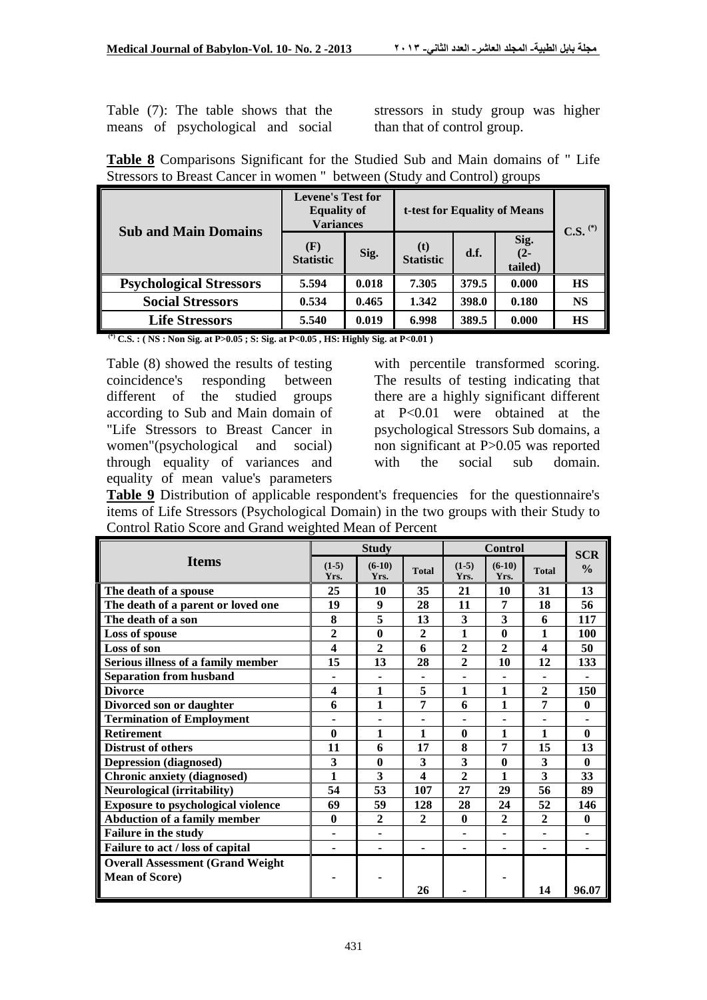Table (7): The table shows that the means of psychological and social stressors in study group was higher than that of control group.

| <b>Sub and Main Domains</b>    | <b>Levene's Test for</b><br><b>Equality of</b><br><b>Variances</b> |       | t-test for Equality of Means |       |                           |                                |  |
|--------------------------------|--------------------------------------------------------------------|-------|------------------------------|-------|---------------------------|--------------------------------|--|
|                                | (F)<br><b>Statistic</b>                                            | Sig.  | (t)<br><b>Statistic</b>      | d.f.  | Sig.<br>$(2 -$<br>tailed) | $\mathbf{C.S.}$ <sup>(*)</sup> |  |
| <b>Psychological Stressors</b> | 5.594                                                              | 0.018 | 7.305                        | 379.5 | 0.000                     | <b>HS</b>                      |  |
| <b>Social Stressors</b>        | 0.534                                                              | 0.465 | 1.342                        | 398.0 | 0.180                     | <b>NS</b>                      |  |
| <b>Life Stressors</b>          | 5.540                                                              | 0.019 | 6.998                        | 389.5 | 0.000                     | <b>HS</b>                      |  |

| <b>Table 8</b> Comparisons Significant for the Studied Sub and Main domains of "Life" |  |  |  |  |
|---------------------------------------------------------------------------------------|--|--|--|--|
| Stressors to Breast Cancer in women " between (Study and Control) groups              |  |  |  |  |

**(\*) C.S. : ( NS : Non Sig. at P>0.05 ; S: Sig. at P<0.05 , HS: Highly Sig. at P<0.01 )**

Table (8) showed the results of testing coincidence's responding between different of the studied groups according to Sub and Main domain of "Life Stressors to Breast Cancer in women"(psychological and social) through equality of variances and equality of mean value's parameters

with percentile transformed scoring. The results of testing indicating that there are a highly significant different at P<0.01 were obtained at the psychological Stressors Sub domains, a non significant at P>0.05 was reported with the social sub domain.

**Table 9** Distribution of applicable respondent's frequencies for the questionnaire's items of Life Stressors (Psychological Domain) in the two groups with their Study to Control Ratio Score and Grand weighted Mean of Percent

|                                                                   |                 | <b>Study</b>     |                         | <b>Control</b>  |                  |                | <b>SCR</b>     |
|-------------------------------------------------------------------|-----------------|------------------|-------------------------|-----------------|------------------|----------------|----------------|
| <b>Items</b>                                                      | $(1-5)$<br>Yrs. | $(6-10)$<br>Yrs. | <b>Total</b>            | $(1-5)$<br>Yrs. | $(6-10)$<br>Yrs. | <b>Total</b>   | $\frac{0}{0}$  |
| The death of a spouse                                             | 25              | 10               | 35                      | 21              | 10               | 31             | 13             |
| The death of a parent or loved one                                | 19              | 9                | 28                      | 11              | 7                | 18             | 56             |
| The death of a son                                                | 8               | 5                | 13                      | 3               | 3                | 6              | 117            |
| Loss of spouse                                                    | $\overline{2}$  | $\bf{0}$         | $\overline{2}$          | $\mathbf{1}$    | $\bf{0}$         | 1              | 100            |
| Loss of son                                                       | 4               | $\overline{2}$   | 6                       | $\overline{2}$  | $\overline{2}$   | 4              | 50             |
| <b>Serious illness of a family member</b>                         | 15              | 13               | 28                      | $\overline{2}$  | 10               | 12             | 133            |
| <b>Separation from husband</b>                                    | $\blacksquare$  |                  |                         |                 |                  |                |                |
| <b>Divorce</b>                                                    | 4               | 1                | 5                       | 1               | 1                | $\overline{2}$ | 150            |
| Divorced son or daughter                                          | 6               | 1                | 7                       | 6               | 1                | 7              | $\mathbf{0}$   |
| <b>Termination of Employment</b>                                  | $\blacksquare$  |                  | $\blacksquare$          |                 |                  |                |                |
| <b>Retirement</b>                                                 | $\mathbf{0}$    | 1                | 1                       | $\mathbf{0}$    | 1                | $\mathbf{1}$   | $\mathbf{0}$   |
| <b>Distrust of others</b>                                         | 11              | 6                | 17                      | 8               | $\overline{7}$   | 15             | 13             |
| <b>Depression (diagnosed)</b>                                     | 3               | $\mathbf{0}$     | 3                       | 3               | $\boldsymbol{0}$ | 3              | $\mathbf{0}$   |
| <b>Chronic anxiety (diagnosed)</b>                                | 1               | 3                | $\overline{\mathbf{4}}$ | $\overline{2}$  | 1                | 3              | 33             |
| <b>Neurological (irritability)</b>                                | 54              | 53               | 107                     | 27              | 29               | 56             | 89             |
| <b>Exposure to psychological violence</b>                         | 69              | 59               | 128                     | 28              | 24               | 52             | 146            |
| <b>Abduction of a family member</b>                               | $\bf{0}$        | $\overline{2}$   | $\mathbf{2}$            | $\bf{0}$        | $\overline{2}$   | $\overline{2}$ | $\mathbf{0}$   |
| Failure in the study                                              | $\blacksquare$  | $\blacksquare$   |                         | ٠               |                  | $\blacksquare$ |                |
| Failure to act / loss of capital                                  | ٠               | $\blacksquare$   | ٠                       | ۰               | $\blacksquare$   | $\blacksquare$ | $\blacksquare$ |
| <b>Overall Assessment (Grand Weight)</b><br><b>Mean of Score)</b> |                 |                  | 26                      |                 |                  | 14             | 96.07          |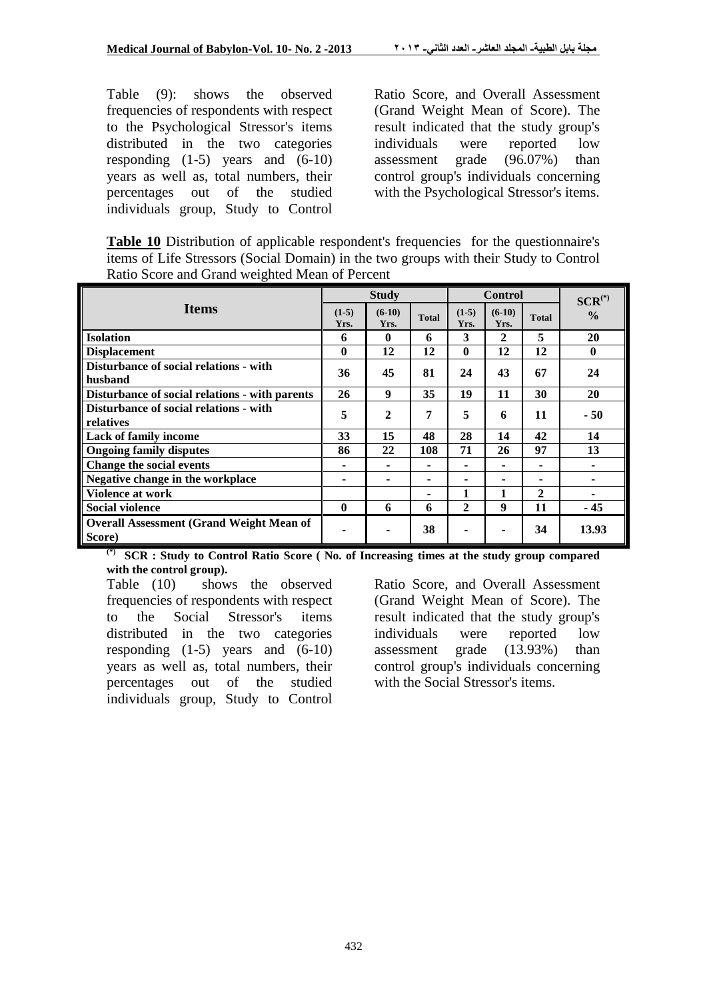Table (9): shows the observed frequencies of respondents with respect to the Psychological Stressor's items distributed in the two categories responding (1-5) years and (6-10) years as well as, total numbers, their percentages out of the studied individuals group, Study to Control

Ratio Score, and Overall Assessment (Grand Weight Mean of Score). The result indicated that the study group's individuals were reported low assessment grade (96.07%) than control group's individuals concerning with the Psychological Stressor's items.

| <b>Table 10</b> Distribution of applicable respondent's frequencies for the questionnaire's |
|---------------------------------------------------------------------------------------------|
| items of Life Stressors (Social Domain) in the two groups with their Study to Control       |
| Ratio Score and Grand weighted Mean of Percent                                              |

|                                                           | <b>Study</b>   |                  |              | <b>Control</b>  |                  |                | $SCR^{(*)}$   |  |
|-----------------------------------------------------------|----------------|------------------|--------------|-----------------|------------------|----------------|---------------|--|
| <b>Items</b>                                              |                | $(6-10)$<br>Yrs. | <b>Total</b> | $(1-5)$<br>Yrs. | $(6-10)$<br>Yrs. | <b>Total</b>   | $\frac{0}{0}$ |  |
| <b>Isolation</b>                                          | 6              | $\mathbf{0}$     | 6            | 3               | $\mathbf{2}$     | 5              | 20            |  |
| <b>Displacement</b>                                       | $\bf{0}$       | 12               | 12           | $\mathbf{0}$    | 12               | 12             | $\mathbf{0}$  |  |
| Disturbance of social relations - with<br>husband         | 36             | 45               | 81           | 24              | 43               | 67             | 24            |  |
| Disturbance of social relations - with parents            | 26             | 9                | 35           | 19              | 11               | 30             | 20            |  |
| Disturbance of social relations - with<br>relatives       | 5              | $\mathbf{2}$     | 7            | 5               | 6                | 11             | $-50$         |  |
| Lack of family income                                     | 33             | 15               | 48           | 28              | 14               | 42             | 14            |  |
| <b>Ongoing family disputes</b>                            | 86             | 22               | 108          | 71              | 26               | 97             | 13            |  |
| <b>Change the social events</b>                           | $\blacksquare$ |                  |              | ۰               |                  | ۰              |               |  |
| Negative change in the workplace                          | $\blacksquare$ | ۰                |              | -               |                  |                |               |  |
| <b>Violence at work</b>                                   |                |                  |              | 1               | 1                | $\overline{2}$ |               |  |
| <b>Social violence</b>                                    | $\mathbf{0}$   | 6                | 6            | $\overline{2}$  | 9                | 11             | $-45$         |  |
| <b>Overall Assessment (Grand Weight Mean of</b><br>Score) | $\blacksquare$ |                  | 38           | ۰               | ۰                | 34             | 13.93         |  |

**(\*) SCR : Study to Control Ratio Score ( No. of Increasing times at the study group compared with the control group).**

Table (10) shows the observed frequencies of respondents with respect to the Social Stressor's items distributed in the two categories responding (1-5) years and (6-10) years as well as, total numbers, their percentages out of the studied individuals group, Study to Control

Ratio Score, and Overall Assessment (Grand Weight Mean of Score). The result indicated that the study group's individuals were reported low assessment grade (13.93%) than control group's individuals concerning with the Social Stressor's items.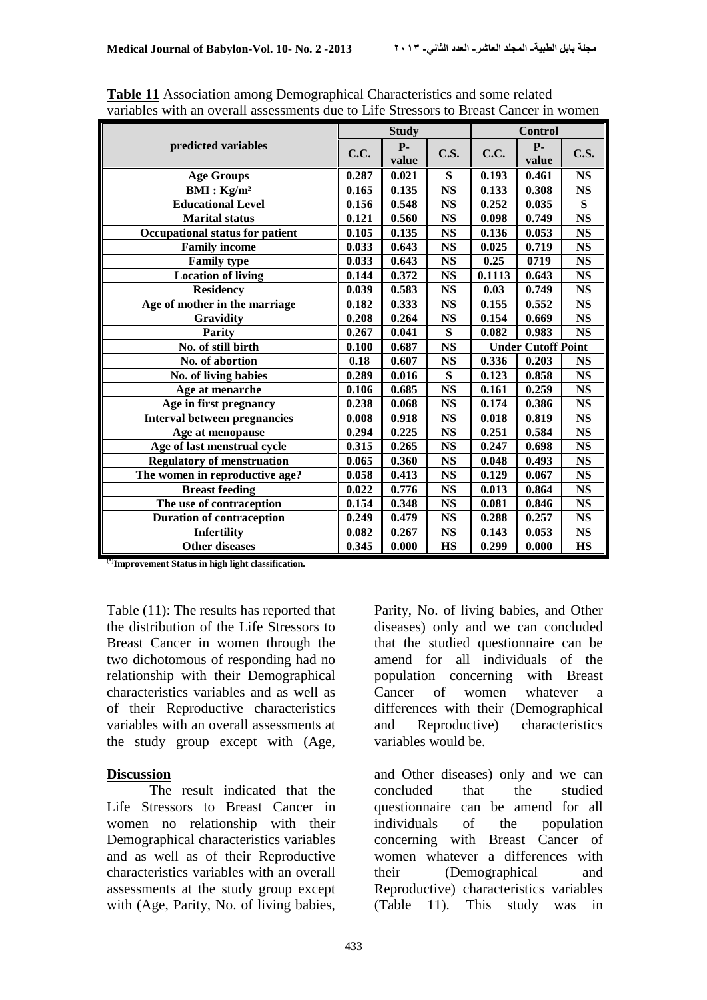|                                     |       | <b>Study</b>   |           | <b>Control</b>            |             |               |  |
|-------------------------------------|-------|----------------|-----------|---------------------------|-------------|---------------|--|
| predicted variables                 |       | $P -$<br>value | C.S.      | C.C.                      | P-<br>value | C.S.          |  |
| <b>Age Groups</b>                   | 0.287 | 0.021          | S         | 0.193                     | 0.461       | <b>NS</b>     |  |
| BMI : Kg/m <sup>2</sup>             | 0.165 | 0.135          | <b>NS</b> | 0.133                     | 0.308       | <b>NS</b>     |  |
| <b>Educational Level</b>            | 0.156 | 0.548          | <b>NS</b> | 0.252                     | 0.035       | S             |  |
| <b>Marital status</b>               | 0.121 | 0.560          | <b>NS</b> | 0.098                     | 0.749       | <b>NS</b>     |  |
| Occupational status for patient     | 0.105 | 0.135          | <b>NS</b> | 0.136                     | 0.053       | <b>NS</b>     |  |
| <b>Family income</b>                | 0.033 | 0.643          | <b>NS</b> | 0.025                     | 0.719       | <b>NS</b>     |  |
| <b>Family type</b>                  | 0.033 | 0.643          | <b>NS</b> | 0.25                      | 0719        | <b>NS</b>     |  |
| <b>Location of living</b>           | 0.144 | 0.372          | <b>NS</b> | 0.1113                    | 0.643       | <b>NS</b>     |  |
| <b>Residency</b>                    | 0.039 | 0.583          | <b>NS</b> | 0.03                      | 0.749       | <b>NS</b>     |  |
| Age of mother in the marriage       | 0.182 | 0.333          | <b>NS</b> | 0.155                     | 0.552       | <b>NS</b>     |  |
| <b>Gravidity</b>                    | 0.208 | 0.264          | <b>NS</b> | 0.154                     | 0.669       | <b>NS</b>     |  |
| Parity                              | 0.267 | 0.041          | S         | 0.082                     | 0.983       | <b>NS</b>     |  |
| No. of still birth                  | 0.100 | 0.687          | <b>NS</b> | <b>Under Cutoff Point</b> |             |               |  |
| No. of abortion                     | 0.18  | 0.607          | <b>NS</b> | 0.336                     | 0.203       | <b>NS</b>     |  |
| No. of living babies                | 0.289 | 0.016          | S         | 0.123                     | 0.858       | <b>NS</b>     |  |
| Age at menarche                     | 0.106 | 0.685          | <b>NS</b> | 0.161                     | 0.259       | $\mathbf{NS}$ |  |
| Age in first pregnancy              | 0.238 | 0.068          | <b>NS</b> | 0.174                     | 0.386       | <b>NS</b>     |  |
| <b>Interval between pregnancies</b> | 0.008 | 0.918          | <b>NS</b> | 0.018                     | 0.819       | <b>NS</b>     |  |
| Age at menopause                    | 0.294 | 0.225          | <b>NS</b> | 0.251                     | 0.584       | <b>NS</b>     |  |
| Age of last menstrual cycle         | 0.315 | 0.265          | <b>NS</b> | 0.247                     | 0.698       | <b>NS</b>     |  |
| <b>Regulatory of menstruation</b>   | 0.065 | 0.360          | <b>NS</b> | 0.048                     | 0.493       | <b>NS</b>     |  |
| The women in reproductive age?      | 0.058 | 0.413          | <b>NS</b> | 0.129                     | 0.067       | <b>NS</b>     |  |
| <b>Breast feeding</b>               | 0.022 | 0.776          | <b>NS</b> | 0.013                     | 0.864       | <b>NS</b>     |  |
| The use of contraception            | 0.154 | 0.348          | <b>NS</b> | 0.081                     | 0.846       | <b>NS</b>     |  |
| Duration of contraception           | 0.249 | 0.479          | <b>NS</b> | 0.288                     | 0.257       | <b>NS</b>     |  |
| <b>Infertility</b>                  | 0.082 | 0.267          | <b>NS</b> | 0.143                     | 0.053       | <b>NS</b>     |  |
| <b>Other diseases</b>               | 0.345 | 0.000          | <b>HS</b> | 0.299                     | 0.000       | <b>HS</b>     |  |

**Table 11** Association among Demographical Characteristics and some related variables with an overall assessments due to Life Stressors to Breast Cancer in women

**(\*)Improvement Status in high light classification.**

Table (11): The results has reported that the distribution of the Life Stressors to Breast Cancer in women through the two dichotomous of responding had no relationship with their Demographical characteristics variables and as well as of their Reproductive characteristics variables with an overall assessments at the study group except with (Age,

### **Discussion**

The result indicated that the Life Stressors to Breast Cancer in women no relationship with their Demographical characteristics variables and as well as of their Reproductive characteristics variables with an overall assessments at the study group except with (Age, Parity, No. of living babies,

Parity, No. of living babies, and Other diseases) only and we can concluded that the studied questionnaire can be amend for all individuals of the population concerning with Breast Cancer of women whatever a differences with their (Demographical and Reproductive) characteristics variables would be.

and Other diseases) only and we can concluded that the studied questionnaire can be amend for all individuals of the population concerning with Breast Cancer of women whatever a differences with their (Demographical and Reproductive) characteristics variables (Table 11). This study was in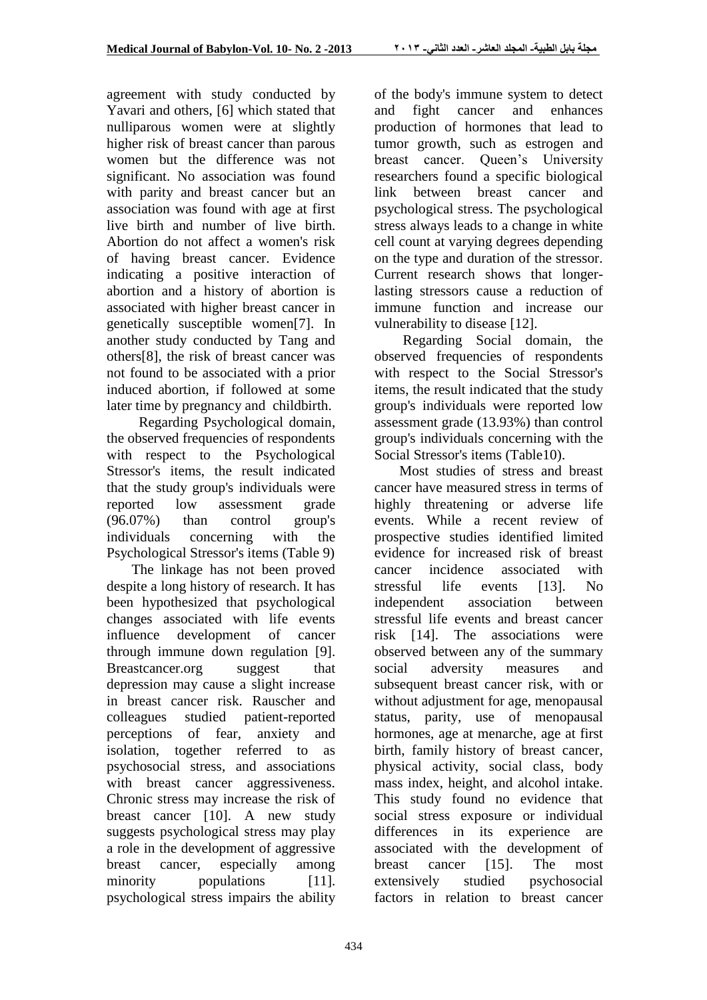agreement with study conducted by Yavari and others, [6] which stated that nulliparous women were at slightly higher risk of breast cancer than parous women but the difference was not significant. No association was found with parity and breast cancer but an association was found with age at first live birth and number of live birth. Abortion do not affect a women's risk of having breast cancer. Evidence indicating a positive interaction of abortion and a history of abortion is associated with higher breast cancer in genetically susceptible women[7]. In another study conducted by Tang and others[8], the risk of breast cancer was not found to be associated with a prior induced abortion, if followed at some later time by pregnancy and childbirth.

 Regarding Psychological domain, the observed frequencies of respondents with respect to the Psychological Stressor's items, the result indicated that the study group's individuals were reported low assessment grade (96.07%) than control group's individuals concerning with the Psychological Stressor's items (Table 9)

 The linkage has not been proved despite a long history of research. It has been hypothesized that psychological changes associated with life events influence development of cancer through immune down regulation [9]. Breastcancer.org suggest that depression may cause a slight increase in breast cancer risk. Rauscher and colleagues studied patient-reported perceptions of fear, [anxiety](http://psychcentral.com/disorders/anxiety/) and isolation, together referred to as psychosocial stress, and associations with breast cancer aggressiveness. Chronic stress may increase the risk of breast cancer [10]. A [new](http://psychcentral.com/news/2011/09/20/stress-linked-to-aggressive-breast-cancer/29596.html) study suggests psychological stress may play a role in the development of aggressive breast cancer, especially among minority populations [11]. psychological stress impairs the ability

of the body's immune system to detect and fight cancer and enhances production of hormones that lead to tumor growth, such as estrogen and breast cancer. Queen's University researchers found a specific biological link between breast cancer and psychological stress. The psychological stress always leads to a change in white cell count at varying degrees depending on the type and duration of the stressor. Current research shows that longerlasting stressors cause a reduction of immune function and increase our vulnerability to disease [12].

 Regarding Social domain, the observed frequencies of respondents with respect to the Social Stressor's items, the result indicated that the study group's individuals were reported low assessment grade (13.93%) than control group's individuals concerning with the Social Stressor's items (Table10).

 Most studies of stress and breast cancer have measured stress in terms of highly threatening or adverse life events. While a recent review of prospective studies identified limited evidence for increased risk of breast cancer incidence associated with stressful life events [13]. No independent association between stressful life events and breast cancer risk [14]. The associations were observed between any of the summary social adversity measures and subsequent breast cancer risk, with or without adjustment for age, menopausal status, parity, use of menopausal hormones, age at menarche, age at first birth, family history of breast cancer, physical activity, social class, body mass index, height, and alcohol intake. This study found no evidence that social stress exposure or individual differences in its experience are associated with the development of breast cancer [15]. The most extensively studied psychosocial factors in relation to breast cancer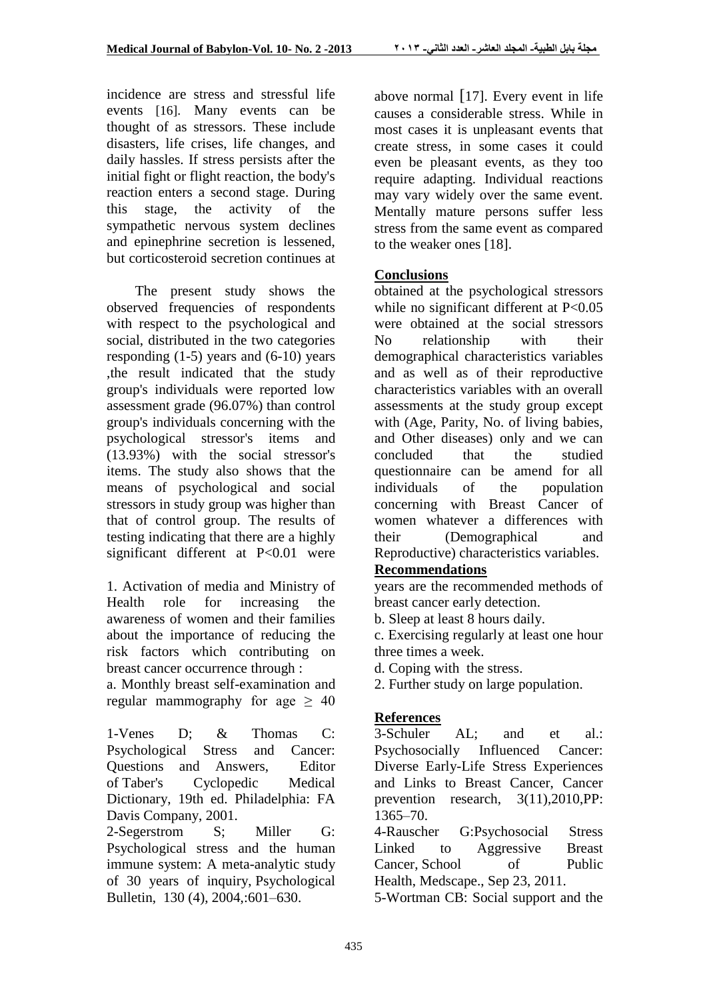incidence are stress and stressful life events [16]. Many events can be thought of as stressors. These include disasters, life crises, life changes, and daily hassles. If stress persists after the initial fight or flight reaction, the body's reaction enters a second stage. During this stage, the activity of the sympathetic nervous system declines and epinephrine secretion is lessened, but corticosteroid secretion continues at

 The present study shows the observed frequencies of respondents with respect to the psychological and social, distributed in the two categories responding  $(1-5)$  years and  $(6-10)$  years ,the result indicated that the study group's individuals were reported low assessment grade (96.07%) than control group's individuals concerning with the psychological stressor's items and (13.93%) with the social stressor's items. The study also shows that the means of psychological and social stressors in study group was higher than that of control group. The results of testing indicating that there are a highly significant different at P<0.01 were

1. Activation of media and Ministry of Health role for increasing the awareness of women and their families about the importance of reducing the risk factors which contributing on breast cancer occurrence through :

a. Monthly breast self-examination and regular [mammography](http://www.encyclopedia.com/doc/1E1-mammog.html) for age  $\geq 40$ 

1-Venes D; & Thomas C: Psychological Stress and Cancer: Questions and Answers, Editor of Taber's Cyclopedic Medical Dictionary, 19th ed. Philadelphia: FA Davis Company, 2001.

2-Segerstrom S; Miller G: Psychological stress and the human immune system: A meta-analytic study of 30 years of inquiry, Psychological Bulletin, 130 (4), 2004,:601–630.

above normal [17]. Every event in life causes a considerable stress. While in most cases it is unpleasant events that create stress, in some cases it could even be pleasant events, as they too require adapting. Individual reactions may vary widely over the same event. Mentally mature persons suffer less stress from the same event as compared to the weaker ones [18].

## **Conclusions**

obtained at the psychological stressors while no significant different at P<0.05 were obtained at the social stressors No relationship with their demographical characteristics variables and as well as of their reproductive characteristics variables with an overall assessments at the study group except with (Age, Parity, No. of living babies, and Other diseases) only and we can concluded that the studied questionnaire can be amend for all individuals of the population concerning with Breast Cancer of women whatever a differences with their (Demographical and Reproductive) characteristics variables.

**Recommendations**

years are the recommended methods of breast cancer early detection.

b. Sleep at least 8 hours daily.

c. Exercising regularly at least one hour three times a week.

- d. Coping with the stress.
- 2. Further study on large population.

## **References**

3-Schuler AL; and et al.: Psychosocially Influenced Cancer: Diverse Early-Life Stress Experiences and Links to Breast Cancer, Cancer prevention research, 3(11),2010,PP: 1365–70.

4-Rauscher G:Psychosocial Stress Linked to Aggressive Breast Cancer, School of Public Health, Medscape., Sep 23, 2011.

5-Wortman CB: Social support and the